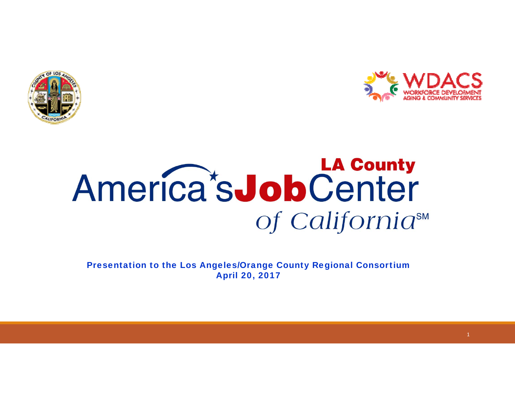



## **LA County** America's Job Center of California<sup>SM</sup>

Presentation to the Los Angeles/Orange County Regional Consortium April 20, 2017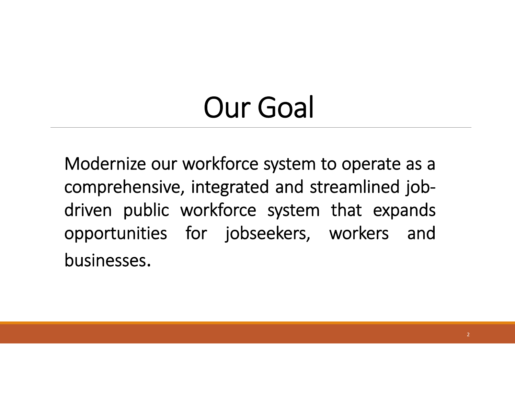# Our Goal

Modernize our workforce system to operate as <sup>a</sup> comprehensive, integrated and streamlined job‐ driven public workforce system that expands opportunities for jobseekers, workers and businesses.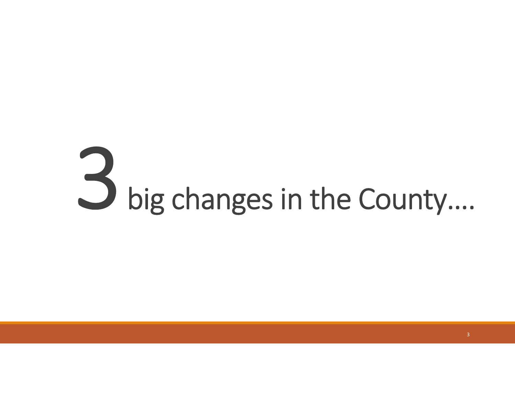# big changes in the County….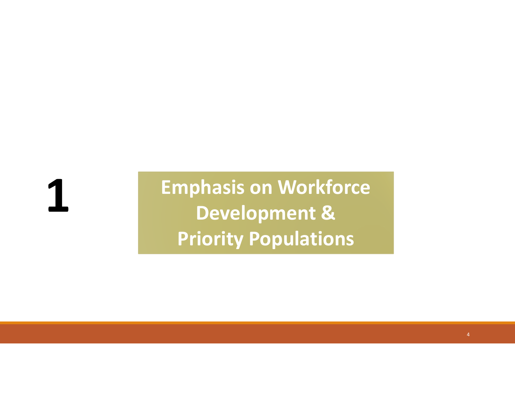**1**

**Emphasis on Workforce & Priority Populations**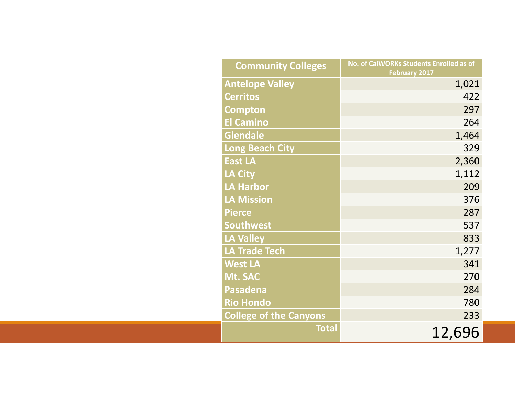| <b>Community Colleges</b>     | No. of CalWORKs Students Enrolled as of |
|-------------------------------|-----------------------------------------|
|                               | <b>February 2017</b>                    |
| <b>Antelope Valley</b>        | 1,021                                   |
| <b>Cerritos</b>               | 422                                     |
| <b>Compton</b>                | 297                                     |
| <b>El Camino</b>              | 264                                     |
| <b>Glendale</b>               | 1,464                                   |
| <b>Long Beach City</b>        | 329                                     |
| <b>East LA</b>                | 2,360                                   |
| <b>LA City</b>                | 1,112                                   |
| <b>LA Harbor</b>              | 209                                     |
| <b>LA Mission</b>             | 376                                     |
| <b>Pierce</b>                 | 287                                     |
| <b>Southwest</b>              | 537                                     |
| <b>LA Valley</b>              | 833                                     |
| <b>LA Trade Tech</b>          | 1,277                                   |
| <b>West LA</b>                | 341                                     |
| Mt. SAC                       | 270                                     |
| <b>Pasadena</b>               | 284                                     |
| <b>Rio Hondo</b>              | 780                                     |
| <b>College of the Canyons</b> | 233                                     |
| <b>Total</b>                  | 12,696                                  |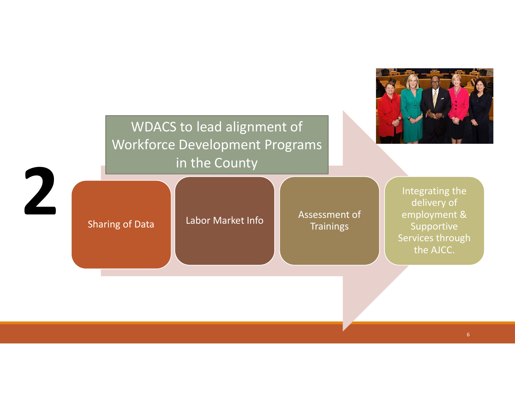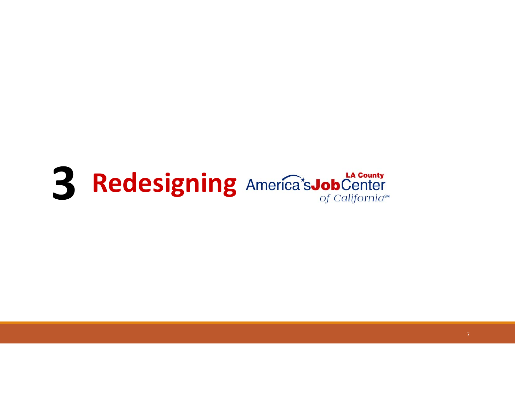# **3 Redesigning** America<sup>t</sup>sJobCenter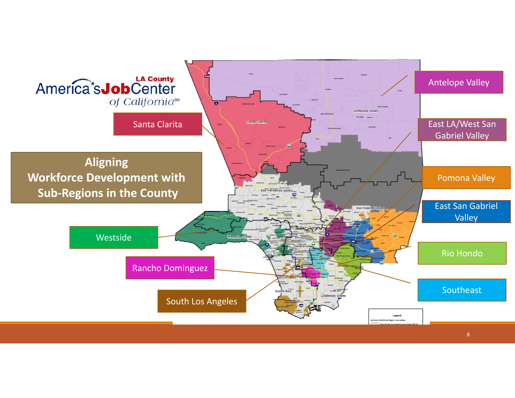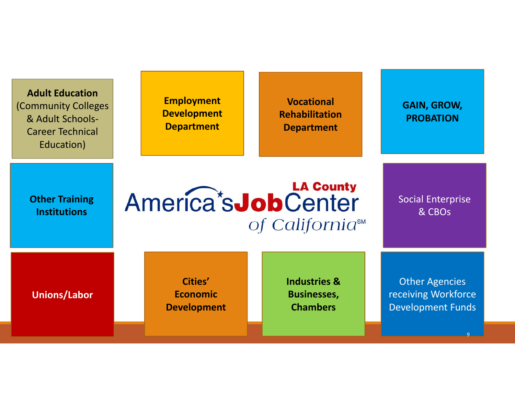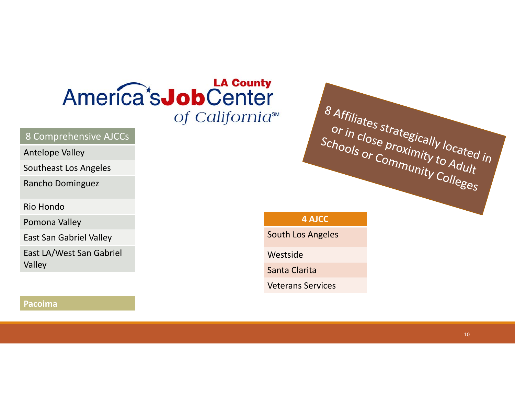### America's **Job** Center of California<sup>™</sup>

#### 8 Comprehensive AJCCs

#### Antelope Valley

Southeast Los Angeles

Rancho Dominguez

Rio Hondo

Pomona Valley

East San Gabriel Valley

East LA/West San Gabriel Valley

# 8 Affiliates strategically located in or in close proximity located<br>Schools or Community to Adult or in close proximity located is<br>Schools or Community to Adult

#### **4 AJCC**

South Los Angeles

Westside

Santa Clarita

Veterans Services

#### **Pacoima**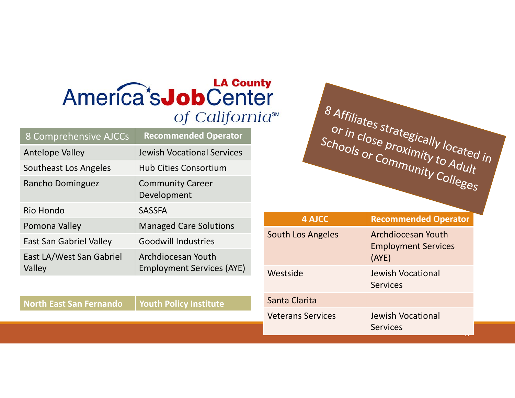### America's **Job** Center of California<sup>sM</sup>

| <b>8 Comprehensive AJCCs</b>       | <b>Recommended Operator</b>                            |
|------------------------------------|--------------------------------------------------------|
| <b>Antelope Valley</b>             | <b>Jewish Vocational Services</b>                      |
| Southeast Los Angeles              | <b>Hub Cities Consortium</b>                           |
| Rancho Dominguez                   | <b>Community Career</b><br>Development                 |
| Rio Hondo                          | <b>SASSFA</b>                                          |
| Pomona Valley                      | <b>Managed Care Solutions</b>                          |
| <b>East San Gabriel Valley</b>     | <b>Goodwill Industries</b>                             |
| East LA/West San Gabriel<br>Valley | Archdiocesan Youth<br><b>Employment Services (AYE)</b> |

**North East San**

**Fernando Youth Policy Institute**



| <b>4 AJCC</b>            | <b>Recommended Operator</b>                               |
|--------------------------|-----------------------------------------------------------|
| South Los Angeles        | Archdiocesan Youth<br><b>Employment Services</b><br>(AYE) |
| Westside                 | <b>Jewish Vocational</b><br><b>Services</b>               |
| Santa Clarita            |                                                           |
| <b>Veterans Services</b> | <b>Jewish Vocational</b><br><b>Services</b>               |